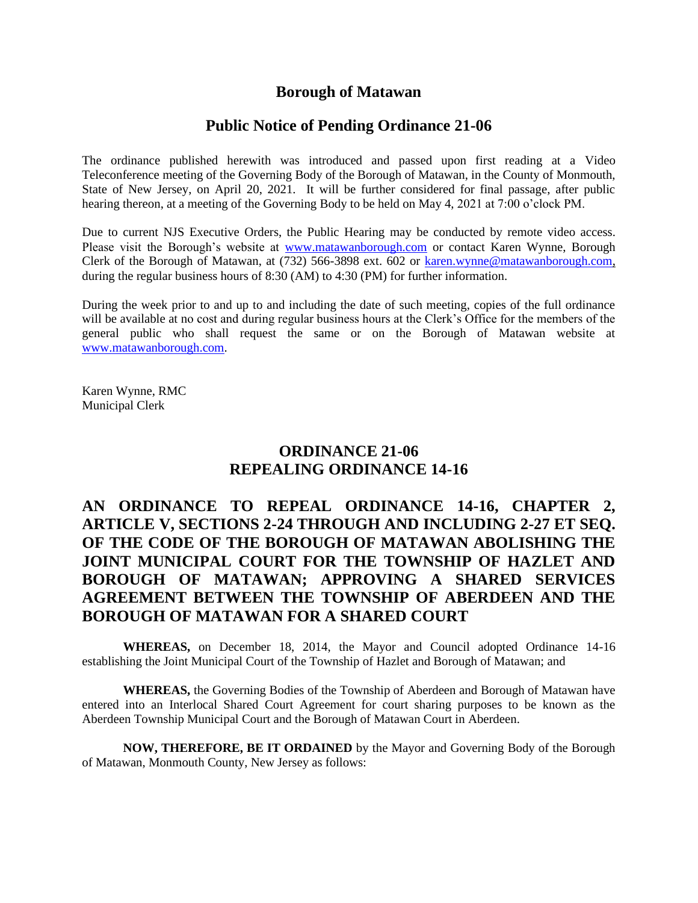# **Borough of Matawan**

# **Public Notice of Pending Ordinance 21-06**

The ordinance published herewith was introduced and passed upon first reading at a Video Teleconference meeting of the Governing Body of the Borough of Matawan, in the County of Monmouth, State of New Jersey, on April 20, 2021. It will be further considered for final passage, after public hearing thereon, at a meeting of the Governing Body to be held on May 4, 2021 at 7:00 o'clock PM.

Due to current NJS Executive Orders, the Public Hearing may be conducted by remote video access. Please visit the Borough's website at [www.matawanborough.com](http://www.matawanborough.com/) or contact Karen Wynne, Borough Clerk of the Borough of Matawan, at (732) 566-3898 ext. 602 or [karen.wynne@matawanborough.com,](mailto:karen.wynne@matawanborough.com) during the regular business hours of 8:30 (AM) to 4:30 (PM) for further information.

During the week prior to and up to and including the date of such meeting, copies of the full ordinance will be available at no cost and during regular business hours at the Clerk's Office for the members of the general public who shall request the same or on the Borough of Matawan website at [www.matawanborough.com.](http://www.matawanborough.com/)

Karen Wynne, RMC Municipal Clerk

# **ORDINANCE 21-06 REPEALING ORDINANCE 14-16**

# **AN ORDINANCE TO REPEAL ORDINANCE 14-16, CHAPTER 2, ARTICLE V, SECTIONS 2-24 THROUGH AND INCLUDING 2-27 ET SEQ. OF THE CODE OF THE BOROUGH OF MATAWAN ABOLISHING THE JOINT MUNICIPAL COURT FOR THE TOWNSHIP OF HAZLET AND BOROUGH OF MATAWAN; APPROVING A SHARED SERVICES AGREEMENT BETWEEN THE TOWNSHIP OF ABERDEEN AND THE BOROUGH OF MATAWAN FOR A SHARED COURT**

**WHEREAS,** on December 18, 2014, the Mayor and Council adopted Ordinance 14-16 establishing the Joint Municipal Court of the Township of Hazlet and Borough of Matawan; and

**WHEREAS,** the Governing Bodies of the Township of Aberdeen and Borough of Matawan have entered into an Interlocal Shared Court Agreement for court sharing purposes to be known as the Aberdeen Township Municipal Court and the Borough of Matawan Court in Aberdeen.

**NOW, THEREFORE, BE IT ORDAINED** by the Mayor and Governing Body of the Borough of Matawan, Monmouth County, New Jersey as follows: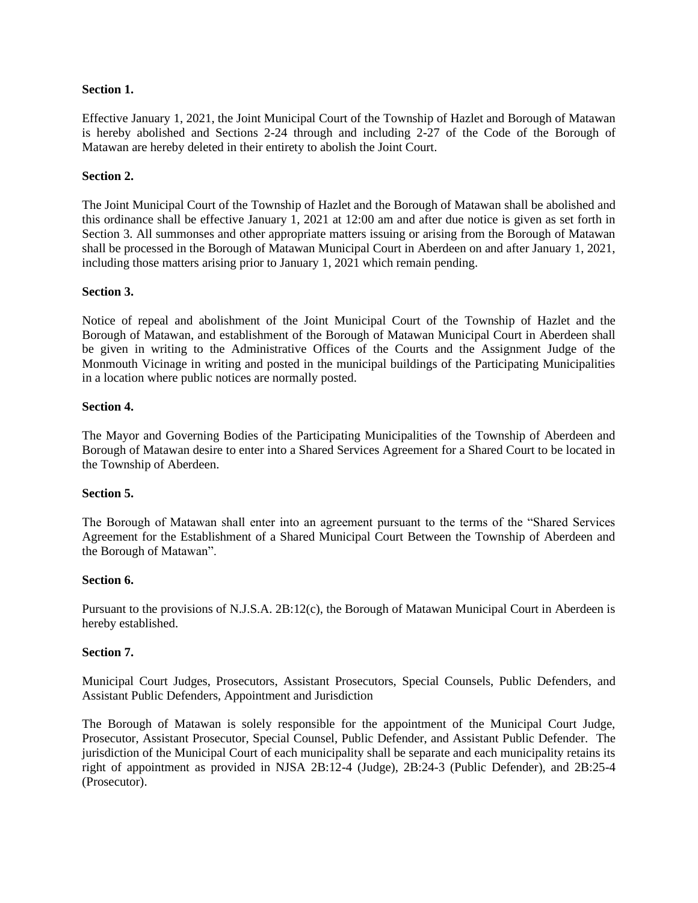## **Section 1.**

Effective January 1, 2021, the Joint Municipal Court of the Township of Hazlet and Borough of Matawan is hereby abolished and Sections 2-24 through and including 2-27 of the Code of the Borough of Matawan are hereby deleted in their entirety to abolish the Joint Court.

## **Section 2.**

The Joint Municipal Court of the Township of Hazlet and the Borough of Matawan shall be abolished and this ordinance shall be effective January 1, 2021 at 12:00 am and after due notice is given as set forth in Section 3. All summonses and other appropriate matters issuing or arising from the Borough of Matawan shall be processed in the Borough of Matawan Municipal Court in Aberdeen on and after January 1, 2021, including those matters arising prior to January 1, 2021 which remain pending.

#### **Section 3.**

Notice of repeal and abolishment of the Joint Municipal Court of the Township of Hazlet and the Borough of Matawan, and establishment of the Borough of Matawan Municipal Court in Aberdeen shall be given in writing to the Administrative Offices of the Courts and the Assignment Judge of the Monmouth Vicinage in writing and posted in the municipal buildings of the Participating Municipalities in a location where public notices are normally posted.

#### **Section 4.**

The Mayor and Governing Bodies of the Participating Municipalities of the Township of Aberdeen and Borough of Matawan desire to enter into a Shared Services Agreement for a Shared Court to be located in the Township of Aberdeen.

#### **Section 5.**

The Borough of Matawan shall enter into an agreement pursuant to the terms of the "Shared Services Agreement for the Establishment of a Shared Municipal Court Between the Township of Aberdeen and the Borough of Matawan".

#### **Section 6.**

Pursuant to the provisions of N.J.S.A. 2B:12(c), the Borough of Matawan Municipal Court in Aberdeen is hereby established.

#### **Section 7.**

Municipal Court Judges, Prosecutors, Assistant Prosecutors, Special Counsels, Public Defenders, and Assistant Public Defenders, Appointment and Jurisdiction

The Borough of Matawan is solely responsible for the appointment of the Municipal Court Judge, Prosecutor, Assistant Prosecutor, Special Counsel, Public Defender, and Assistant Public Defender. The jurisdiction of the Municipal Court of each municipality shall be separate and each municipality retains its right of appointment as provided in NJSA 2B:12-4 (Judge), 2B:24-3 (Public Defender), and 2B:25-4 (Prosecutor).